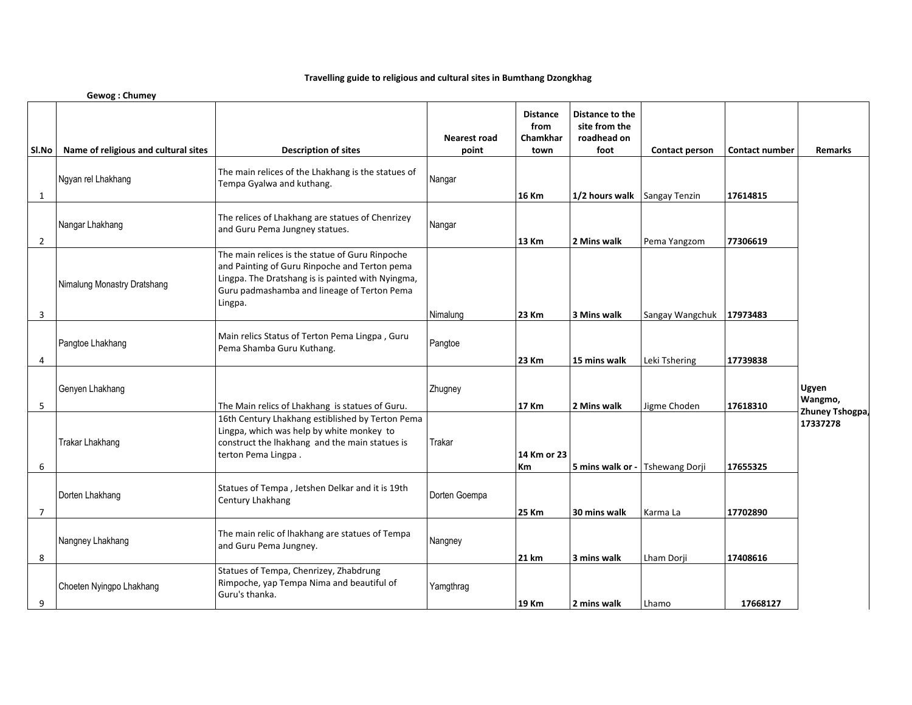## **Travelling guide to religious and cultural sites in Bumthang Dzongkhag**

|                | Gewog: Chumey                        |                                                                                                                                                                                                                 |                              |                                             |                                                         |                       |                       |                                     |
|----------------|--------------------------------------|-----------------------------------------------------------------------------------------------------------------------------------------------------------------------------------------------------------------|------------------------------|---------------------------------------------|---------------------------------------------------------|-----------------------|-----------------------|-------------------------------------|
| SI.No          | Name of religious and cultural sites | <b>Description of sites</b>                                                                                                                                                                                     | <b>Nearest road</b><br>point | <b>Distance</b><br>from<br>Chamkhar<br>town | Distance to the<br>site from the<br>roadhead on<br>foot | <b>Contact person</b> | <b>Contact number</b> | <b>Remarks</b>                      |
| 1              | Ngyan rel Lhakhang                   | The main relices of the Lhakhang is the statues of<br>Tempa Gyalwa and kuthang.                                                                                                                                 | Nangar                       | <b>16 Km</b>                                | 1/2 hours walk                                          | Sangay Tenzin         | 17614815              |                                     |
| $\overline{2}$ | Nangar Lhakhang                      | The relices of Lhakhang are statues of Chenrizey<br>and Guru Pema Jungney statues.                                                                                                                              | Nangar                       | <b>13 Km</b>                                | 2 Mins walk                                             | Pema Yangzom          | 77306619              |                                     |
| 3              | Nimalung Monastry Dratshang          | The main relices is the statue of Guru Rinpoche<br>and Painting of Guru Rinpoche and Terton pema<br>Lingpa. The Dratshang is is painted with Nyingma,<br>Guru padmashamba and lineage of Terton Pema<br>Lingpa. | Nimalung                     | 23 Km                                       | 3 Mins walk                                             | Sangay Wangchuk       | 17973483              |                                     |
| 4              | Pangtoe Lhakhang                     | Main relics Status of Terton Pema Lingpa, Guru<br>Pema Shamba Guru Kuthang.                                                                                                                                     | Pangtoe                      | 23 Km                                       | 15 mins walk                                            | Leki Tshering         | 17739838              |                                     |
| 5              | Genyen Lhakhang                      | The Main relics of Lhakhang is statues of Guru.                                                                                                                                                                 | Zhugney                      | <b>17 Km</b>                                | 2 Mins walk                                             | Jigme Choden          | 17618310              | Ugyen<br>Wangmo,<br>Zhuney Tshogpa, |
| 6              | Trakar Lhakhang                      | 16th Century Lhakhang estiblished by Terton Pema<br>Lingpa, which was help by white monkey to<br>construct the lhakhang and the main statues is<br>terton Pema Lingpa.                                          | Trakar                       | 14 Km or 23<br>Кm                           | 5 mins walk or -                                        | Tshewang Dorji        | 17655325              | 17337278                            |
| $\overline{7}$ | Dorten Lhakhang                      | Statues of Tempa, Jetshen Delkar and it is 19th<br>Century Lhakhang                                                                                                                                             | Dorten Goempa                | <b>25 Km</b>                                | 30 mins walk                                            | Karma La              | 17702890              |                                     |
| 8              | Nangney Lhakhang                     | The main relic of lhakhang are statues of Tempa<br>and Guru Pema Jungney.                                                                                                                                       | Nangney                      | 21 km                                       | 3 mins walk                                             | Lham Dorji            | 17408616              |                                     |
| 9              | Choeten Nyingpo Lhakhang             | Statues of Tempa, Chenrizey, Zhabdrung<br>Rimpoche, yap Tempa Nima and beautiful of<br>Guru's thanka.                                                                                                           | Yamgthrag                    | 19 Km                                       | 2 mins walk                                             | Lhamo                 | 17668127              |                                     |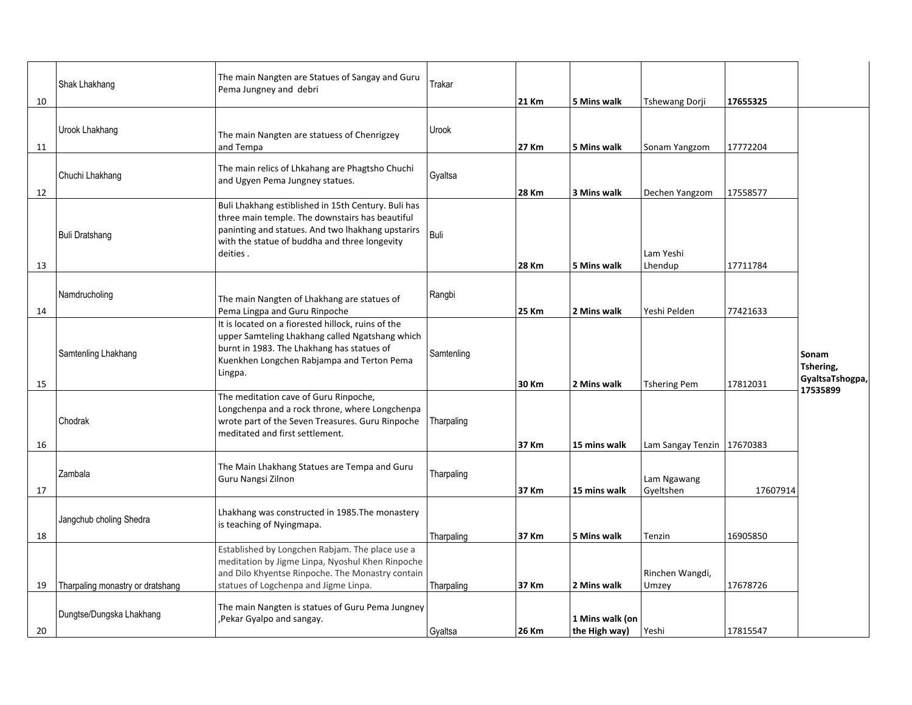| 10       | Shak Lhakhang                    | The main Nangten are Statues of Sangay and Guru<br>Pema Jungney and debri                                                                                                                                                | Trakar     | <b>21 Km</b>   | 5 Mins walk                      | Tshewang Dorji                                      | 17655325 |                                       |
|----------|----------------------------------|--------------------------------------------------------------------------------------------------------------------------------------------------------------------------------------------------------------------------|------------|----------------|----------------------------------|-----------------------------------------------------|----------|---------------------------------------|
| 11       | Urook Lhakhang                   | The main Nangten are statuess of Chenrigzey<br>and Tempa                                                                                                                                                                 | Urook      | 27 Km          | 5 Mins walk                      | Sonam Yangzom                                       | 17772204 |                                       |
| 12       | Chuchi Lhakhang                  | The main relics of Lhkahang are Phagtsho Chuchi<br>and Ugyen Pema Jungney statues.                                                                                                                                       | Gyaltsa    | 28 Km          | 3 Mins walk                      | Dechen Yangzom                                      | 17558577 |                                       |
| 13       | Buli Dratshang                   | Buli Lhakhang estiblished in 15th Century. Buli has<br>three main temple. The downstairs has beautiful<br>paninting and statues. And two lhakhang upstarirs<br>with the statue of buddha and three longevity<br>deities. | Buli       | <b>28 Km</b>   | 5 Mins walk                      | Lam Yeshi<br>Lhendup                                | 17711784 |                                       |
| 14       | Namdrucholing                    | The main Nangten of Lhakhang are statues of<br>Pema Lingpa and Guru Rinpoche                                                                                                                                             | Rangbi     | <b>25 Km</b>   | 2 Mins walk                      | Yeshi Pelden                                        | 77421633 |                                       |
|          | Samtenling Lhakhang              | It is located on a fiorested hillock, ruins of the<br>upper Samteling Lhakhang called Ngatshang which<br>burnt in 1983. The Lhakhang has statues of<br>Kuenkhen Longchen Rabjampa and Terton Pema<br>Lingpa.             | Samtenling |                |                                  |                                                     |          | Sonam<br>Tshering,<br>GyaltsaTshogpa, |
| 15<br>16 | Chodrak                          | The meditation cave of Guru Rinpoche,<br>Longchenpa and a rock throne, where Longchenpa<br>wrote part of the Seven Treasures. Guru Rinpoche<br>meditated and first settlement.                                           | Tharpaling | 30 Km<br>37 Km | 2 Mins walk<br>15 mins walk      | <b>Tshering Pem</b><br>Lam Sangay Tenzin   17670383 | 17812031 | 17535899                              |
| 17       | Zambala                          | The Main Lhakhang Statues are Tempa and Guru<br>Guru Nangsi Zilnon                                                                                                                                                       | Tharpaling | 37 Km          | 15 mins walk                     | Lam Ngawang<br>Gyeltshen                            | 17607914 |                                       |
| 18       | Jangchub choling Shedra          | Lhakhang was constructed in 1985. The monastery<br>is teaching of Nyingmapa.                                                                                                                                             | Tharpaling | 37 Km          | 5 Mins walk                      | Tenzin                                              | 16905850 |                                       |
| 19       | Tharpaling monastry or dratshang | Established by Longchen Rabjam. The place use a<br>meditation by Jigme Linpa, Nyoshul Khen Rinpoche<br>and Dilo Khyentse Rinpoche. The Monastry contain<br>statues of Logchenpa and Jigme Linpa.                         | Tharpaling | 37 Km          | 2 Mins walk                      | Rinchen Wangdi,<br>Umzey                            | 17678726 |                                       |
| 20       | Dungtse/Dungska Lhakhang         | The main Nangten is statues of Guru Pema Jungney<br>Pekar Gyalpo and sangay.                                                                                                                                             | Gyaltsa    | 26 Km          | 1 Mins walk (on<br>the High way) | Yeshi                                               | 17815547 |                                       |